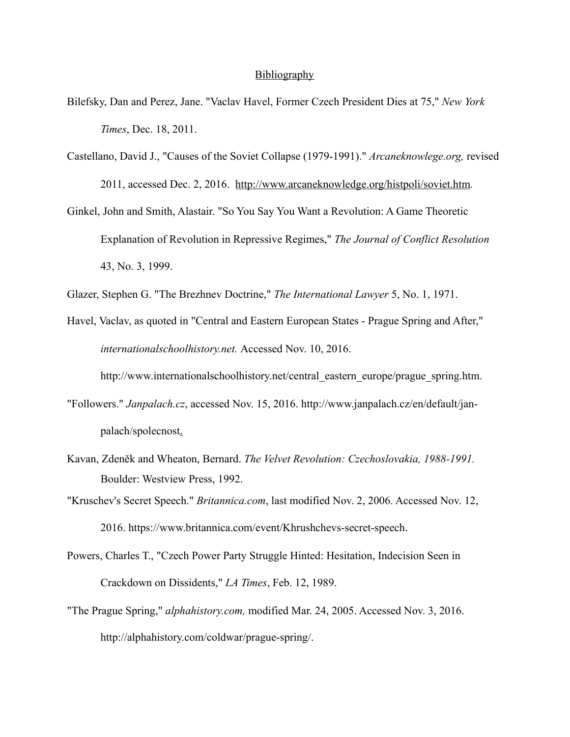## **Bibliography**

- Bilefsky, Dan and Perez, Jane. "Vaclav Havel, Former Czech President Dies at 75," *New York Times*, Dec. 18, 2011.
- Castellano, David J., "Causes of the Soviet Collapse (1979-1991)." *Arcaneknowlege.org,* revised 2011, accessed Dec. 2, 2016. <http://www.arcaneknowledge.org/histpoli/soviet.htm>*.*
- Ginkel, John and Smith, Alastair. "So You Say You Want a Revolution: A Game Theoretic Explanation of Revolution in Repressive Regimes," *The Journal of Conflict Resolution*  43, No. 3, 1999.
- Glazer, Stephen G. "The Brezhnev Doctrine," *The International Lawyer* 5, No. 1, 1971.
- Havel, Vaclav, as quoted in "Central and Eastern European States Prague Spring and After," *internationalschoolhistory.net.* Accessed Nov. 10, 2016.

[http://www.internationalschoolhistory.net/central\\_eastern\\_europe/prague\\_spring.htm](http://www.internationalschoolhistory.net/central_eastern_europe/prague_spring.htm).

- "Followers." *Janpalach.cz*, accessed Nov. 15, 2016. [http://www.janpalach.cz/en/default/jan](http://www.janpalach.cz/en/default/jan-) palach/spolecnost.
- Kavan, Zdeněk and Wheaton, Bernard. *The Velvet Revolution: Czechoslovakia, 1988-1991.*  Boulder: Westview Press, 1992.
- "Kruschev's Secret Speech." *Britannica.com*, last modified Nov. 2, 2006. Accessed Nov. 12, 2016. <https://www.britannica.com/event/Khrushchevs-secret-speech>.
- Powers, Charles T., "Czech Power Party Struggle Hinted: Hesitation, Indecision Seen in Crackdown on Dissidents," *LA Times*, Feb. 12, 1989.
- "The Prague Spring," *[alphahistory.com,](http://alphahistory.com)* modified Mar. 24, 2005. Accessed Nov. 3, 2016. <http://alphahistory.com/coldwar/prague-spring/>.